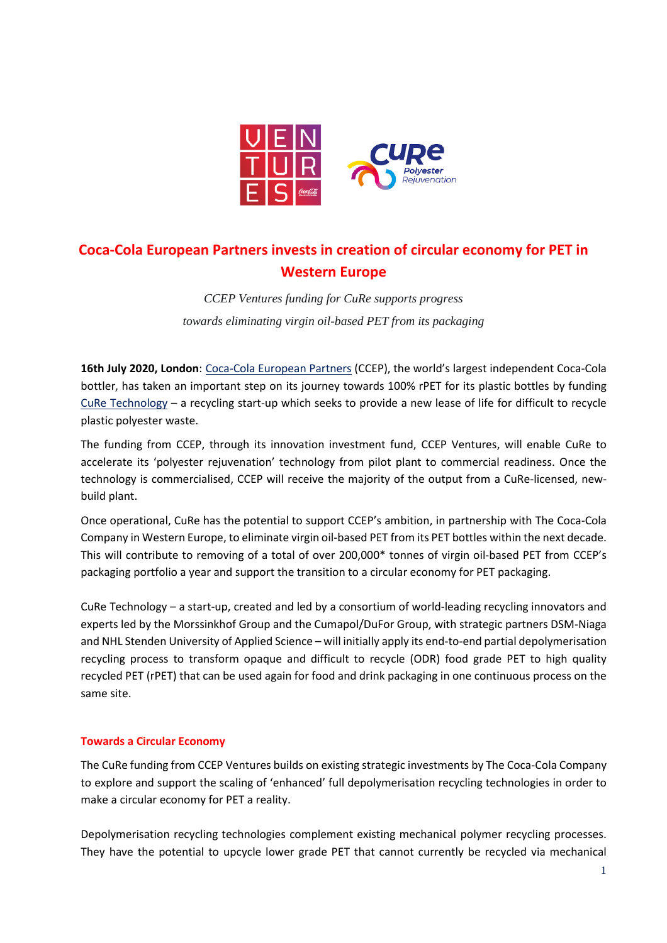

# **Coca-Cola European Partners invests in creation of circular economy for PET in Western Europe**

*CCEP Ventures funding for CuRe supports progress towards eliminating virgin oil-based PET from its packaging*

**16th July 2020, London**: [Coca-Cola European Partners](https://www.cocacolaep.com/) (CCEP), the world's largest independent Coca-Cola bottler, has taken an important step on its journey towards 100% rPET for its plastic bottles by funding CuRe [Technology](https://curetechnology.com/) – a recycling start-up which seeks to provide a new lease of life for difficult to recycle plastic polyester waste.

The funding from CCEP, through its innovation investment fund, CCEP Ventures, will enable CuRe to accelerate its 'polyester rejuvenation' technology from pilot plant to commercial readiness. Once the technology is commercialised, CCEP will receive the majority of the output from a CuRe-licensed, newbuild plant.

Once operational, CuRe has the potential to support CCEP's ambition, in partnership with The Coca-Cola Company in Western Europe, to eliminate virgin oil-based PET from its PET bottles within the next decade. This will contribute to removing of a total of over 200,000\* tonnes of virgin oil-based PET from CCEP's packaging portfolio a year and support the transition to a circular economy for PET packaging.

CuRe Technology – a start-up, created and led by a consortium of world-leading recycling innovators and experts led by the Morssinkhof Group and the Cumapol/DuFor Group, with strategic partners DSM-Niaga and NHL Stenden University of Applied Science – will initially apply its end-to-end partial depolymerisation recycling process to transform opaque and difficult to recycle (ODR) food grade PET to high quality recycled PET (rPET) that can be used again for food and drink packaging in one continuous process on the same site.

# **Towards a Circular Economy**

The CuRe funding from CCEP Ventures builds on existing strategic investments by The Coca-Cola Company to explore and support the scaling of 'enhanced' full depolymerisation recycling technologies in order to make a circular economy for PET a reality.

Depolymerisation recycling technologies complement existing mechanical polymer recycling processes. They have the potential to upcycle lower grade PET that cannot currently be recycled via mechanical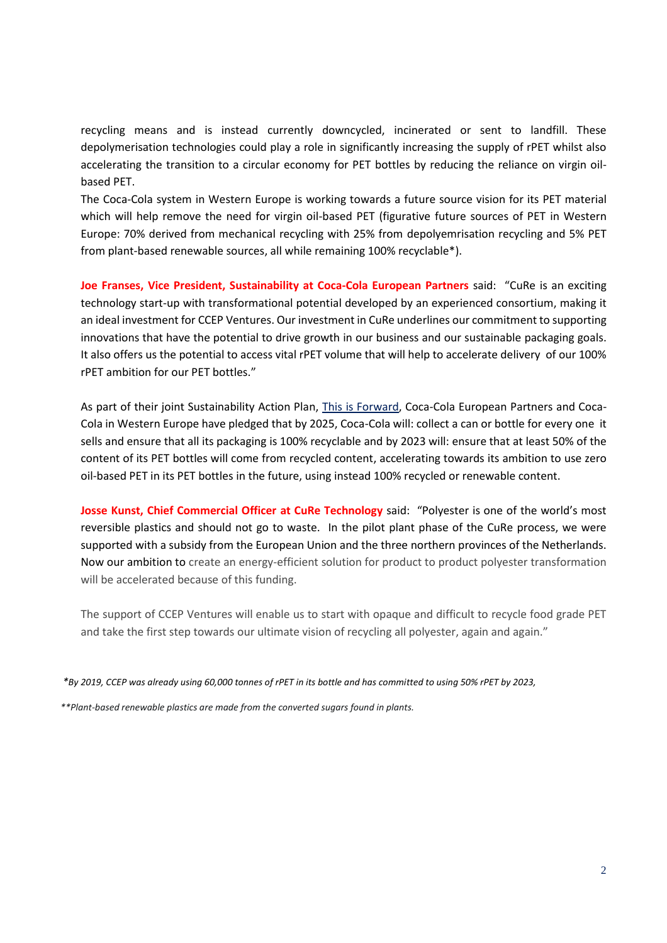recycling means and is instead currently downcycled, incinerated or sent to landfill. These depolymerisation technologies could play a role in significantly increasing the supply of rPET whilst also accelerating the transition to a circular economy for PET bottles by reducing the reliance on virgin oilbased PET.

The Coca-Cola system in Western Europe is working towards a future source vision for its PET material which will help remove the need for virgin oil-based PET (figurative future sources of PET in Western Europe: 70% derived from mechanical recycling with 25% from depolyemrisation recycling and 5% PET from plant-based renewable sources, all while remaining 100% recyclable\*).

**Joe Franses, Vice President, Sustainability at Coca-Cola European Partners** said: "CuRe is an exciting technology start-up with transformational potential developed by an experienced consortium, making it an ideal investment for CCEP Ventures. Our investment in CuRe underlines our commitment to supporting innovations that have the potential to drive growth in our business and our sustainable packaging goals. It also offers us the potential to access vital rPET volume that will help to accelerate delivery of our 100% rPET ambition for our PET bottles."

As part of their joint Sustainability Action Plan, [This is Forward,](https://www.cocacolaep.com/sustainability/this-is-forward/action-on-packaging/) Coca-Cola European Partners and Coca-Cola in Western Europe have pledged that by 2025, Coca-Cola will: collect a can or bottle for every one it sells and ensure that all its packaging is 100% recyclable and by 2023 will: ensure that at least 50% of the content of its PET bottles will come from recycled content, accelerating towards its ambition to use zero oil-based PET in its PET bottles in the future, using instead 100% recycled or renewable content.

**Josse Kunst, Chief Commercial Officer at CuRe Technology** said: "Polyester is one of the world's most reversible plastics and should not go to waste. In the pilot plant phase of the CuRe process, we were supported with a subsidy from the European Union and the three northern provinces of the Netherlands. Now our ambition to create an energy-efficient solution for product to product polyester transformation will be accelerated because of this funding.

The support of CCEP Ventures will enable us to start with opaque and difficult to recycle food grade PET and take the first step towards our ultimate vision of recycling all polyester, again and again."

*\*By 2019, CCEP was already using 60,000 tonnes of rPET in its bottle and has committed to using 50% rPET by 2023,* 

*\*\*Plant-based renewable plastics are made from the converted sugars found in plants.*